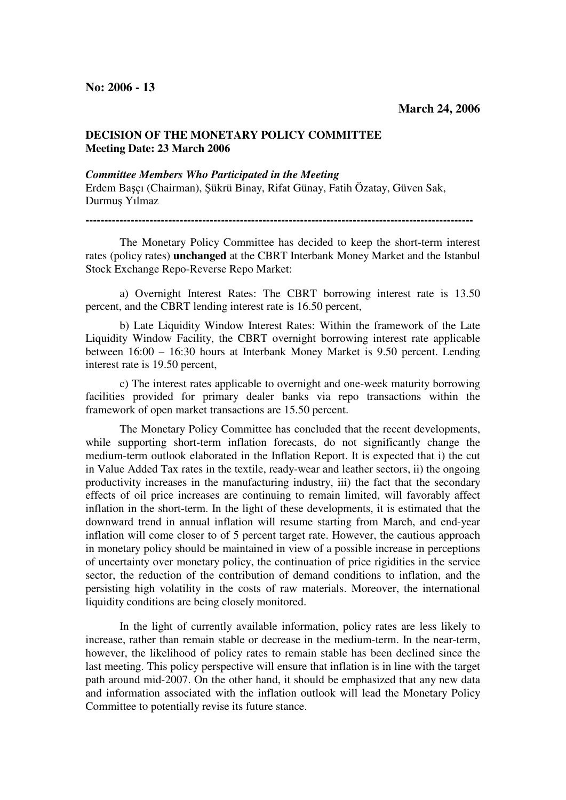## **DECISION OF THE MONETARY POLICY COMMITTEE Meeting Date: 23 March 2006**

## *Committee Members Who Participated in the Meeting*

Erdem Başçı (Chairman), Şükrü Binay, Rifat Günay, Fatih Özatay, Güven Sak, Durmuş Yılmaz

**-------------------------------------------------------------------------------------------------------**

The Monetary Policy Committee has decided to keep the short-term interest rates (policy rates) **unchanged** at the CBRT Interbank Money Market and the Istanbul Stock Exchange Repo-Reverse Repo Market:

a) Overnight Interest Rates: The CBRT borrowing interest rate is 13.50 percent, and the CBRT lending interest rate is 16.50 percent,

b) Late Liquidity Window Interest Rates: Within the framework of the Late Liquidity Window Facility, the CBRT overnight borrowing interest rate applicable between 16:00 – 16:30 hours at Interbank Money Market is 9.50 percent. Lending interest rate is 19.50 percent,

c) The interest rates applicable to overnight and one-week maturity borrowing facilities provided for primary dealer banks via repo transactions within the framework of open market transactions are 15.50 percent.

The Monetary Policy Committee has concluded that the recent developments, while supporting short-term inflation forecasts, do not significantly change the medium-term outlook elaborated in the Inflation Report. It is expected that i) the cut in Value Added Tax rates in the textile, ready-wear and leather sectors, ii) the ongoing productivity increases in the manufacturing industry, iii) the fact that the secondary effects of oil price increases are continuing to remain limited, will favorably affect inflation in the short-term. In the light of these developments, it is estimated that the downward trend in annual inflation will resume starting from March, and end-year inflation will come closer to of 5 percent target rate. However, the cautious approach in monetary policy should be maintained in view of a possible increase in perceptions of uncertainty over monetary policy, the continuation of price rigidities in the service sector, the reduction of the contribution of demand conditions to inflation, and the persisting high volatility in the costs of raw materials. Moreover, the international liquidity conditions are being closely monitored.

In the light of currently available information, policy rates are less likely to increase, rather than remain stable or decrease in the medium-term. In the near-term, however, the likelihood of policy rates to remain stable has been declined since the last meeting. This policy perspective will ensure that inflation is in line with the target path around mid-2007. On the other hand, it should be emphasized that any new data and information associated with the inflation outlook will lead the Monetary Policy Committee to potentially revise its future stance.